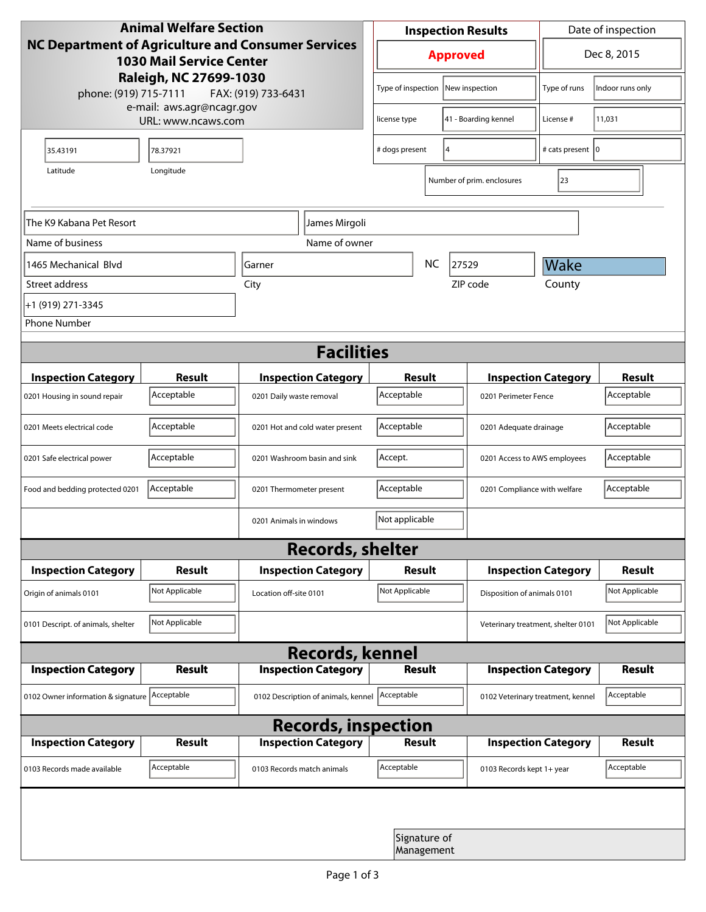| <b>Animal Welfare Section</b><br>NC Department of Agriculture and Consumer Services<br><b>1030 Mail Service Center</b><br>Raleigh, NC 27699-1030 |                                                 |                                     | <b>Inspection Results</b> |                                    |                      | Date of inspection         |                                    |                |  |
|--------------------------------------------------------------------------------------------------------------------------------------------------|-------------------------------------------------|-------------------------------------|---------------------------|------------------------------------|----------------------|----------------------------|------------------------------------|----------------|--|
|                                                                                                                                                  |                                                 |                                     | <b>Approved</b>           |                                    |                      | Dec 8, 2015                |                                    |                |  |
| phone: (919) 715-7111                                                                                                                            | FAX: (919) 733-6431                             |                                     | Type of inspection        |                                    | New inspection       | Type of runs               | Indoor runs only                   |                |  |
|                                                                                                                                                  | e-mail: aws.agr@ncagr.gov<br>URL: www.ncaws.com |                                     | license type              |                                    | 41 - Boarding kennel | License #                  | 11,031                             |                |  |
| 35.43191                                                                                                                                         | 78.37921                                        |                                     |                           | # dogs present                     |                      | 14                         | # cats present   0                 |                |  |
| Latitude                                                                                                                                         | Longitude                                       |                                     |                           |                                    |                      | Number of prim. enclosures | 23                                 |                |  |
| The K9 Kabana Pet Resort<br>James Mirgoli                                                                                                        |                                                 |                                     |                           |                                    |                      |                            |                                    |                |  |
| Name of business                                                                                                                                 |                                                 | Name of owner                       |                           |                                    |                      |                            |                                    |                |  |
| 1465 Mechanical Blvd                                                                                                                             |                                                 | Garner                              |                           |                                    | <b>NC</b>            | 27529                      | Wake                               |                |  |
| Street address                                                                                                                                   |                                                 | City                                |                           |                                    |                      | ZIP code                   | County                             |                |  |
| +1 (919) 271-3345                                                                                                                                |                                                 |                                     |                           |                                    |                      |                            |                                    |                |  |
| <b>Phone Number</b>                                                                                                                              |                                                 |                                     |                           |                                    |                      |                            |                                    |                |  |
| <b>Facilities</b>                                                                                                                                |                                                 |                                     |                           |                                    |                      |                            |                                    |                |  |
| <b>Inspection Category</b>                                                                                                                       | <b>Result</b>                                   | <b>Inspection Category</b>          |                           | <b>Result</b>                      |                      |                            | <b>Inspection Category</b>         | <b>Result</b>  |  |
| 0201 Housing in sound repair                                                                                                                     | Acceptable                                      | 0201 Daily waste removal            |                           | Acceptable<br>0201 Perimeter Fence |                      |                            | Acceptable                         |                |  |
| 0201 Meets electrical code                                                                                                                       | Acceptable                                      | 0201 Hot and cold water present     |                           | Acceptable                         |                      |                            | 0201 Adequate drainage             |                |  |
| 0201 Safe electrical power                                                                                                                       | Acceptable                                      | 0201 Washroom basin and sink        |                           | Accept.                            |                      |                            | 0201 Access to AWS employees       |                |  |
| Food and bedding protected 0201                                                                                                                  | Acceptable                                      | 0201 Thermometer present            |                           | Acceptable                         |                      |                            | 0201 Compliance with welfare       |                |  |
| Not applicable<br>0201 Animals in windows                                                                                                        |                                                 |                                     |                           |                                    |                      |                            |                                    |                |  |
| <b>Records, shelter</b>                                                                                                                          |                                                 |                                     |                           |                                    |                      |                            |                                    |                |  |
| <b>Inspection Category</b>                                                                                                                       | <b>Result</b>                                   | <b>Inspection Category</b>          |                           | Result                             |                      |                            | <b>Inspection Category</b>         | <b>Result</b>  |  |
| Origin of animals 0101                                                                                                                           | Not Applicable                                  | Location off-site 0101              |                           | Not Applicable                     |                      |                            | Disposition of animals 0101        |                |  |
| 0101 Descript. of animals, shelter                                                                                                               | Not Applicable                                  |                                     |                           |                                    |                      |                            | Veterinary treatment, shelter 0101 | Not Applicable |  |
| <b>Records, kennel</b>                                                                                                                           |                                                 |                                     |                           |                                    |                      |                            |                                    |                |  |
| <b>Inspection Category</b>                                                                                                                       | Result                                          | <b>Inspection Category</b>          |                           | <b>Result</b>                      |                      |                            | <b>Inspection Category</b>         | Result         |  |
| 0102 Owner information & signature Acceptable                                                                                                    |                                                 | 0102 Description of animals, kennel |                           | Acceptable                         |                      |                            | 0102 Veterinary treatment, kennel  | Acceptable     |  |
| <b>Records, inspection</b>                                                                                                                       |                                                 |                                     |                           |                                    |                      |                            |                                    |                |  |
| <b>Inspection Category</b>                                                                                                                       | <b>Result</b>                                   | <b>Inspection Category</b>          |                           | <b>Result</b>                      |                      |                            | <b>Inspection Category</b>         | <b>Result</b>  |  |
| 0103 Records made available                                                                                                                      | Acceptable                                      | 0103 Records match animals          |                           | Acceptable                         |                      | 0103 Records kept 1+ year  |                                    | Acceptable     |  |
|                                                                                                                                                  |                                                 |                                     |                           |                                    |                      |                            |                                    |                |  |
|                                                                                                                                                  |                                                 |                                     |                           | Signature of<br>Management         |                      |                            |                                    |                |  |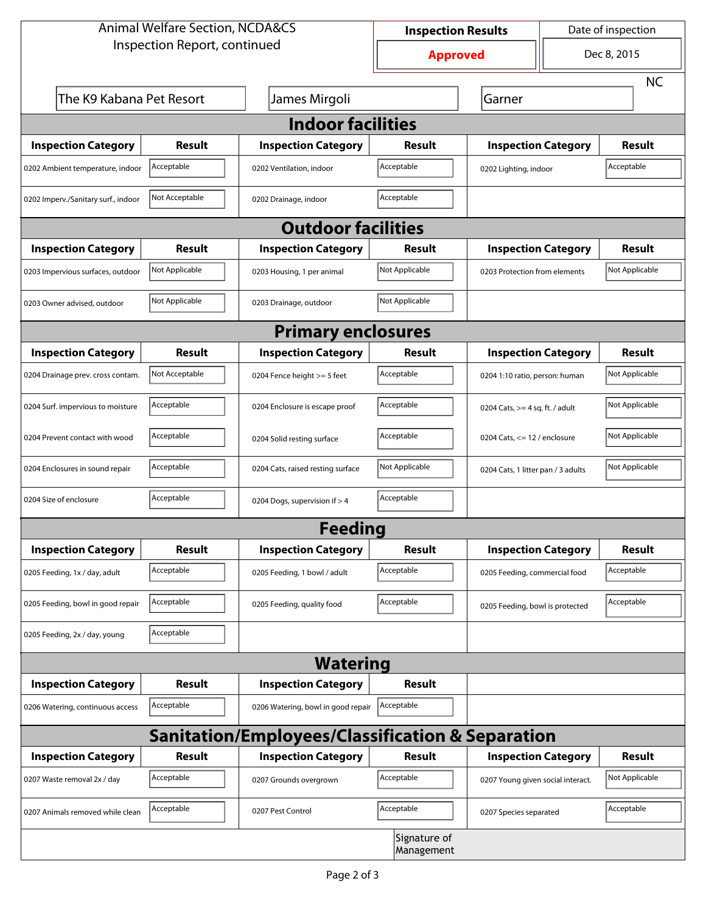| <b>Animal Welfare Section, NCDA&amp;CS</b>                  |                |                                    | Date of inspection<br><b>Inspection Results</b> |                                     |                            |                |  |  |  |
|-------------------------------------------------------------|----------------|------------------------------------|-------------------------------------------------|-------------------------------------|----------------------------|----------------|--|--|--|
| Inspection Report, continued                                |                |                                    | <b>Approved</b>                                 |                                     | Dec 8, 2015                |                |  |  |  |
|                                                             |                |                                    |                                                 |                                     |                            | <b>NC</b>      |  |  |  |
| The K9 Kabana Pet Resort                                    |                | James Mirgoli                      |                                                 | Garner                              |                            |                |  |  |  |
| <b>Indoor facilities</b>                                    |                |                                    |                                                 |                                     |                            |                |  |  |  |
| <b>Inspection Category</b>                                  | Result         | <b>Inspection Category</b>         | Result                                          | <b>Inspection Category</b>          |                            | <b>Result</b>  |  |  |  |
| 0202 Ambient temperature, indoor                            | Acceptable     | 0202 Ventilation, indoor           | Acceptable                                      | Acceptable<br>0202 Lighting, indoor |                            |                |  |  |  |
| 0202 Imperv./Sanitary surf., indoor                         | Not Acceptable | 0202 Drainage, indoor              | Acceptable                                      |                                     |                            |                |  |  |  |
| <b>Outdoor facilities</b>                                   |                |                                    |                                                 |                                     |                            |                |  |  |  |
| <b>Inspection Category</b>                                  | <b>Result</b>  | <b>Inspection Category</b>         | Result                                          |                                     | <b>Inspection Category</b> | <b>Result</b>  |  |  |  |
| 0203 Impervious surfaces, outdoor                           | Not Applicable | 0203 Housing, 1 per animal         | Not Applicable                                  | 0203 Protection from elements       |                            | Not Applicable |  |  |  |
| 0203 Owner advised, outdoor                                 | Not Applicable | 0203 Drainage, outdoor             | Not Applicable                                  |                                     |                            |                |  |  |  |
| <b>Primary enclosures</b>                                   |                |                                    |                                                 |                                     |                            |                |  |  |  |
| <b>Inspection Category</b>                                  | Result         | <b>Inspection Category</b>         | Result                                          |                                     | <b>Inspection Category</b> | <b>Result</b>  |  |  |  |
| 0204 Drainage prev. cross contam.                           | Not Acceptable | 0204 Fence height >= 5 feet        | Acceptable                                      | 0204 1:10 ratio, person: human      |                            | Not Applicable |  |  |  |
| 0204 Surf. impervious to moisture                           | Acceptable     | 0204 Enclosure is escape proof     | Acceptable                                      | 0204 Cats, $>=$ 4 sq. ft. / adult   |                            | Not Applicable |  |  |  |
| 0204 Prevent contact with wood                              | Acceptable     | 0204 Solid resting surface         | Acceptable                                      | 0204 Cats, $<= 12$ / enclosure      |                            | Not Applicable |  |  |  |
| 0204 Enclosures in sound repair                             | Acceptable     | 0204 Cats, raised resting surface  | Not Applicable                                  | 0204 Cats, 1 litter pan / 3 adults  |                            | Not Applicable |  |  |  |
| 0204 Size of enclosure                                      | Acceptable     | 0204 Dogs, supervision if > 4      | Acceptable                                      |                                     |                            |                |  |  |  |
| <b>Feeding</b>                                              |                |                                    |                                                 |                                     |                            |                |  |  |  |
| <b>Inspection Category</b>                                  | <b>Result</b>  | <b>Inspection Category</b>         | <b>Result</b>                                   |                                     | <b>Inspection Category</b> | <b>Result</b>  |  |  |  |
| 0205 Feeding, 1x / day, adult                               | Acceptable     | 0205 Feeding, 1 bowl / adult       | Acceptable                                      | 0205 Feeding, commercial food       |                            | Acceptable     |  |  |  |
| 0205 Feeding, bowl in good repair                           | Acceptable     | 0205 Feeding, quality food         | Acceptable                                      | 0205 Feeding, bowl is protected     |                            | Acceptable     |  |  |  |
| 0205 Feeding, 2x / day, young                               | Acceptable     |                                    |                                                 |                                     |                            |                |  |  |  |
| <b>Watering</b>                                             |                |                                    |                                                 |                                     |                            |                |  |  |  |
| <b>Inspection Category</b>                                  | <b>Result</b>  | <b>Inspection Category</b>         | Result                                          |                                     |                            |                |  |  |  |
| 0206 Watering, continuous access                            | Acceptable     | 0206 Watering, bowl in good repair | Acceptable                                      |                                     |                            |                |  |  |  |
| <b>Sanitation/Employees/Classification &amp; Separation</b> |                |                                    |                                                 |                                     |                            |                |  |  |  |
| <b>Inspection Category</b>                                  | <b>Result</b>  | <b>Inspection Category</b>         | Result                                          |                                     | <b>Inspection Category</b> | <b>Result</b>  |  |  |  |
| 0207 Waste removal 2x / day                                 | Acceptable     | 0207 Grounds overgrown             | Acceptable                                      | 0207 Young given social interact.   |                            | Not Applicable |  |  |  |
| 0207 Animals removed while clean                            | Acceptable     | 0207 Pest Control                  | Acceptable                                      | 0207 Species separated              |                            | Acceptable     |  |  |  |
|                                                             |                |                                    | Signature of<br>Management                      |                                     |                            |                |  |  |  |